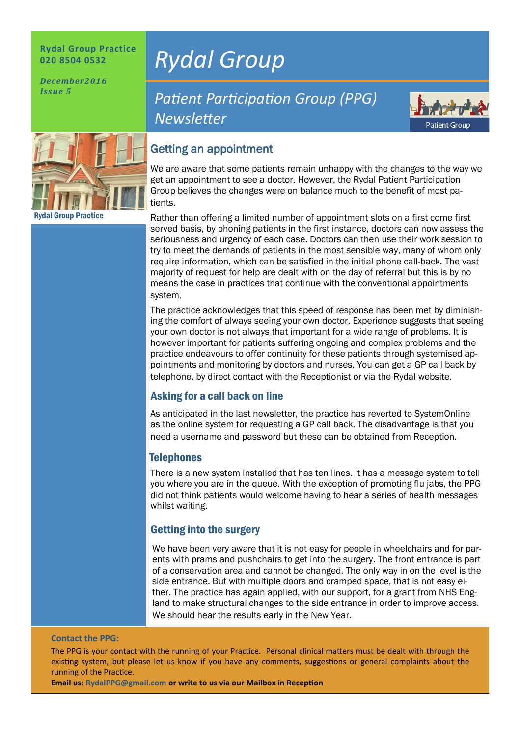#### **Rydal Group Practice 020 8504 0532**

*December2016 Issue 5*



Rydal Group Practice

# *Rydal Group*

# **Patient Participation Group (PPG)** *Newsleter*



# Getting an appointment

We are aware that some patients remain unhappy with the changes to the way we get an appointment to see a doctor. However, the Rydal Patient Participation Group believes the changes were on balance much to the benefit of most patients.

Rather than offering a limited number of appointment slots on a first come first served basis, by phoning patients in the first instance, doctors can now assess the seriousness and urgency of each case. Doctors can then use their work session to try to meet the demands of patients in the most sensible way, many of whom only require information, which can be satisfied in the initial phone call-back. The vast majority of request for help are dealt with on the day of referral but this is by no means the case in practices that continue with the conventional appointments system,

The practice acknowledges that this speed of response has been met by diminishing the comfort of always seeing your own doctor. Experience suggests that seeing your own doctor is not always that important for a wide range of problems. It is however important for patients suffering ongoing and complex problems and the practice endeavours to offer continuity for these patients through systemised appointments and monitoring by doctors and nurses. You can get a GP call back by telephone, by direct contact with the Receptionist or via the Rydal website.

## Asking for a call back on line

As anticipated in the last newsletter, the practice has reverted to SystemOnline as the online system for requesting a GP call back. The disadvantage is that you need a username and password but these can be obtained from Reception.

## **Telephones**

There is a new system installed that has ten lines. It has a message system to tell you where you are in the queue. With the exception of promoting flu jabs, the PPG did not think patients would welcome having to hear a series of health messages whilst waiting.

# Getting into the surgery

We have been very aware that it is not easy for people in wheelchairs and for parents with prams and pushchairs to get into the surgery. The front entrance is part of a conservation area and cannot be changed. The only way in on the level is the side entrance. But with multiple doors and cramped space, that is not easy either. The practice has again applied, with our support, for a grant from NHS England to make structural changes to the side entrance in order to improve access. We should hear the results early in the New Year.

#### **Contact the PPG:**

The PPG is your contact with the running of your Practice. Personal clinical matters must be dealt with through the existng system, but please let us know if you have any comments, suggestons or general complaints about the running of the Practice.

**Email us: RydalPPG@gmail.com or write to us via our Mailbox in Recepton**